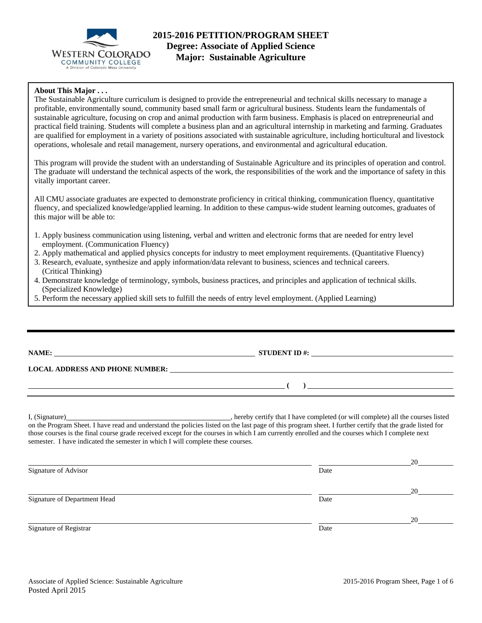

## **About This Major . . .**

The Sustainable Agriculture curriculum is designed to provide the entrepreneurial and technical skills necessary to manage a profitable, environmentally sound, community based small farm or agricultural business. Students learn the fundamentals of sustainable agriculture, focusing on crop and animal production with farm business. Emphasis is placed on entrepreneurial and practical field training. Students will complete a business plan and an agricultural internship in marketing and farming. Graduates are qualified for employment in a variety of positions associated with sustainable agriculture, including horticultural and livestock operations, wholesale and retail management, nursery operations, and environmental and agricultural education.

This program will provide the student with an understanding of Sustainable Agriculture and its principles of operation and control. The graduate will understand the technical aspects of the work, the responsibilities of the work and the importance of safety in this vitally important career.

All CMU associate graduates are expected to demonstrate proficiency in critical thinking, communication fluency, quantitative fluency, and specialized knowledge/applied learning. In addition to these campus-wide student learning outcomes, graduates of this major will be able to:

- 1. Apply business communication using listening, verbal and written and electronic forms that are needed for entry level employment. (Communication Fluency)
- 2. Apply mathematical and applied physics concepts for industry to meet employment requirements. (Quantitative Fluency)
- 3. Research, evaluate, synthesize and apply information/data relevant to business, sciences and technical careers. (Critical Thinking)
- 4. Demonstrate knowledge of terminology, symbols, business practices, and principles and application of technical skills. (Specialized Knowledge)
- 5. Perform the necessary applied skill sets to fulfill the needs of entry level employment. (Applied Learning)

**NAME: STUDENT ID #: STUDENT ID #: STUDENT ID #: STUDENT ID #: STUDENT ID #: STUDENT ID #: STUDENT ID #: STUDENT ID #: STUDENT ID #: STUDENT ID #: STUDENT ID #: STUDENT ID #: STUDENT ID #: STUDE** 

**LOCAL ADDRESS AND PHONE NUMBER:**

I, (Signature) , hereby certify that I have completed (or will complete) all the courses listed on the Program Sheet. I have read and understand the policies listed on the last page of this program sheet. I further certify that the grade listed for those courses is the final course grade received except for the courses in which I am currently enrolled and the courses which I complete next semester. I have indicated the semester in which I will complete these courses.

|                              |      | 20 |
|------------------------------|------|----|
| Signature of Advisor         | Date |    |
|                              |      | 20 |
| Signature of Department Head | Date |    |
|                              |      | 20 |
| Signature of Registrar       | Date |    |

 **( )**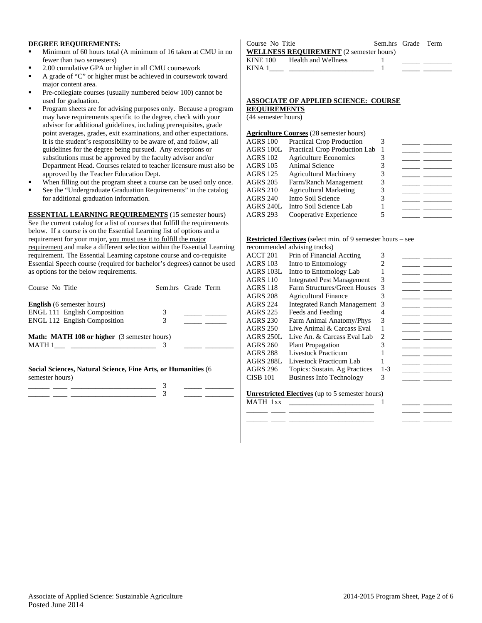### **DEGREE REQUIREMENTS:**

- Minimum of 60 hours total (A minimum of 16 taken at CMU in no fewer than two semesters)
- 2.00 cumulative GPA or higher in all CMU coursework
- A grade of "C" or higher must be achieved in coursework toward major content area.
- Pre-collegiate courses (usually numbered below 100) cannot be used for graduation.
- Program sheets are for advising purposes only. Because a program may have requirements specific to the degree, check with your advisor for additional guidelines, including prerequisites, grade point averages, grades, exit examinations, and other expectations. It is the student's responsibility to be aware of, and follow, all guidelines for the degree being pursued. Any exceptions or substitutions must be approved by the faculty advisor and/or Department Head. Courses related to teacher licensure must also be approved by the Teacher Education Dept.
- When filling out the program sheet a course can be used only once.
- See the "Undergraduate Graduation Requirements" in the catalog for additional graduation information.

**ESSENTIAL LEARNING REQUIREMENTS** (15 semester hours) See the current catalog for a list of courses that fulfill the requirements below. If a course is on the Essential Learning list of options and a requirement for your major, you must use it to fulfill the major requirement and make a different selection within the Essential Learning requirement. The Essential Learning capstone course and co-requisite Essential Speech course (required for bachelor's degrees) cannot be used as options for the below requirements.

| Course No Title                                    |   | Sem.hrs Grade Term |
|----------------------------------------------------|---|--------------------|
| <b>English</b> (6 semester hours)                  |   |                    |
| <b>ENGL 111 English Composition</b>                | 3 |                    |
| <b>ENGL 112 English Composition</b>                | 3 |                    |
| <b>Math: MATH 108 or higher</b> (3 semester hours) |   |                    |
| MATH 1                                             |   |                    |

**Social Sciences, Natural Science, Fine Arts, or Humanities** (6 semester hours)

#### Course No Title Sem.hrs Grade Term **WELLNESS REQUIREMENT** (2 semester hours) KINE 100 Health and Wellness 1 KINA  $1$   $1$

### **ASSOCIATE OF APPLIED SCIENCE: COURSE REQUIREMENTS**

(44 semester hours)

#### **Agriculture Courses** (28 semester hours)

| <b>AGRS 100</b> | Practical Crop Production     |   |  |
|-----------------|-------------------------------|---|--|
| AGRS 100L       | Practical Crop Production Lab |   |  |
| <b>AGRS 102</b> | <b>Agriculture Economics</b>  |   |  |
| <b>AGRS 105</b> | Animal Science                |   |  |
| <b>AGRS 125</b> | <b>Agricultural Machinery</b> | 3 |  |
| <b>AGRS 205</b> | Farm/Ranch Management         | 3 |  |
| <b>AGRS 210</b> | <b>Agricultural Marketing</b> |   |  |
| <b>AGRS 240</b> | Intro Soil Science            |   |  |
| AGRS 240L       | Intro Soil Science Lab        |   |  |
| <b>AGRS 293</b> | Cooperative Experience        |   |  |
|                 |                               |   |  |

#### **Restricted Electives** (select min. of 9 semester hours – see

| recommended advising tracks) |  |  |
|------------------------------|--|--|
|------------------------------|--|--|

|                  | $100$ and $1000$ and $1000$ and $1000$                 |         |  |
|------------------|--------------------------------------------------------|---------|--|
| ACCT 201         | Prin of Financial Accting                              | 3       |  |
| AGRS 103         | Intro to Entomology                                    |         |  |
| AGRS 103L        | Intro to Entomology Lab                                |         |  |
| <b>AGRS 110</b>  | <b>Integrated Pest Management</b>                      | 3       |  |
| <b>AGRS 118</b>  | Farm Structures/Green Houses                           | 3       |  |
| <b>AGRS 208</b>  | <b>Agricultural Finance</b>                            | 3       |  |
| <b>AGRS 224</b>  | <b>Integrated Ranch Management</b>                     | 3       |  |
| <b>AGRS 225</b>  | Feeds and Feeding                                      | 4       |  |
| <b>AGRS 230</b>  | Farm Animal Anatomy/Phys                               | 3       |  |
| <b>AGRS 250</b>  | Live Animal & Carcass Eval                             |         |  |
| <b>AGRS 250L</b> | Live An. & Carcass Eval Lab                            | 2       |  |
| AGRS 260         | <b>Plant Propagation</b>                               | 3       |  |
| AGRS 288         | <b>Livestock Practicum</b>                             |         |  |
| AGRS 288L        | Livestock Practicum Lab                                |         |  |
| AGRS 296         | Topics: Sustain. Ag Practices                          | $1 - 3$ |  |
| <b>CISB 101</b>  | <b>Business Info Technology</b>                        | 3       |  |
|                  |                                                        |         |  |
|                  | <b>Unrestricted Electives</b> (up to 5 semester hours) |         |  |
| MATH 1xx         |                                                        |         |  |
|                  |                                                        |         |  |

\_\_\_\_\_\_ \_\_\_\_ \_\_\_\_\_\_\_\_\_\_\_\_\_\_\_\_\_\_\_\_\_\_\_\_ \_\_\_\_\_ \_\_\_\_\_\_\_\_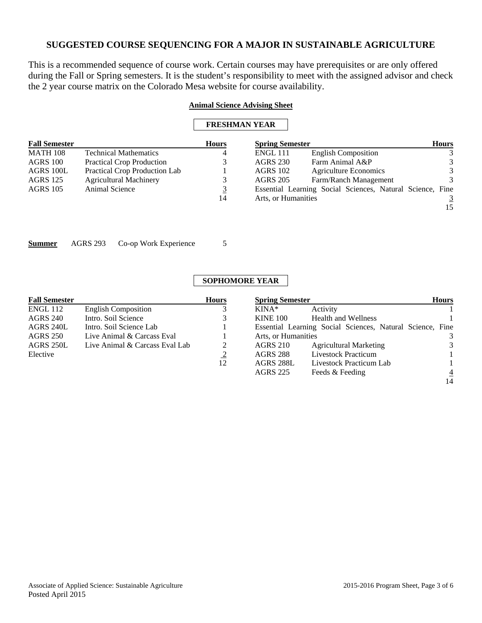This is a recommended sequence of course work. Certain courses may have prerequisites or are only offered during the Fall or Spring semesters. It is the student's responsibility to meet with the assigned advisor and check the 2 year course matrix on the Colorado Mesa website for course availability.

## **Animal Science Advising Sheet**

| <b>Fall Semester</b> |                                  | <b>Hours</b>   | <b>Spring Semester</b> |                                                           | <b>Hours</b>  |
|----------------------|----------------------------------|----------------|------------------------|-----------------------------------------------------------|---------------|
| <b>MATH 108</b>      | <b>Technical Mathematics</b>     | $\overline{4}$ | <b>ENGL 111</b>        | <b>English Composition</b>                                |               |
| AGRS 100             | <b>Practical Crop Production</b> | 3              | <b>AGRS 230</b>        | Farm Animal A&P                                           | 3             |
| AGRS 100L            | Practical Crop Production Lab    |                | <b>AGRS</b> 102        | <b>Agriculture Economics</b>                              | 3             |
| <b>AGRS</b> 125      | <b>Agricultural Machinery</b>    | 3              | <b>AGRS 205</b>        | Farm/Ranch Management                                     | $\mathcal{R}$ |
| <b>AGRS</b> 105      | Animal Science                   | 3              |                        | Essential Learning Social Sciences, Natural Science, Fine |               |
|                      |                                  | 14             | Arts, or Humanities    |                                                           |               |
|                      |                                  |                |                        |                                                           | 15            |
|                      |                                  |                |                        |                                                           |               |

**Summer** AGRS 293 Co-op Work Experience 5

# **SOPHOMORE YEAR**

| <b>Fall Semester</b> |                                | <b>Hours</b>   | <b>Spring Semester</b> |                                                           | <b>Hours</b>   |
|----------------------|--------------------------------|----------------|------------------------|-----------------------------------------------------------|----------------|
| ENGL 112             | <b>English Composition</b>     |                | $KINA*$                | Activity                                                  |                |
| <b>AGRS 240</b>      | Intro. Soil Science            | 3              | <b>KINE 100</b>        | <b>Health and Wellness</b>                                |                |
| AGRS 240L            | Intro. Soil Science Lab        |                |                        | Essential Learning Social Sciences, Natural Science, Fine |                |
| <b>AGRS 250</b>      | Live Animal & Carcass Eval     |                | Arts, or Humanities    |                                                           | 3              |
| AGRS 250L            | Live Animal & Carcass Eval Lab | 2              | <b>AGRS 210</b>        | <b>Agricultural Marketing</b>                             | 3              |
| Elective             |                                | $\overline{2}$ | <b>AGRS 288</b>        | Livestock Practicum                                       |                |
|                      |                                | 12             | AGRS 288L              | Livestock Practicum Lab                                   |                |
|                      |                                |                | <b>AGRS 225</b>        | Feeds & Feeding                                           | $\overline{4}$ |
|                      |                                |                |                        |                                                           | 14             |

14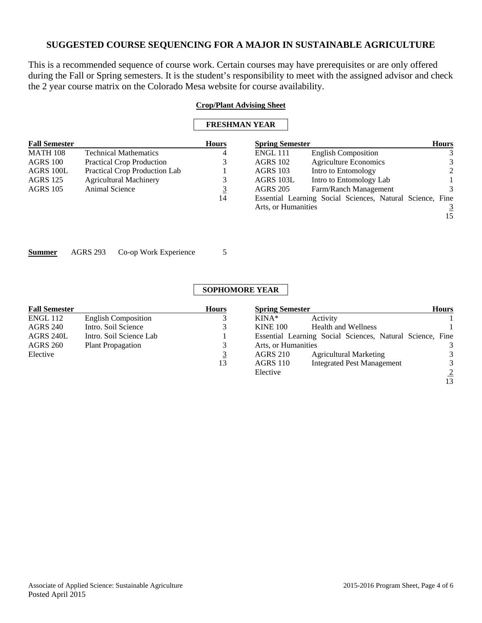This is a recommended sequence of course work. Certain courses may have prerequisites or are only offered during the Fall or Spring semesters. It is the student's responsibility to meet with the assigned advisor and check the 2 year course matrix on the Colorado Mesa website for course availability.

## **Crop/Plant Advising Sheet**

| <b>FRESHMAN YEAR</b> |
|----------------------|
|----------------------|

| <b>Fall Semester</b> |                                  | <b>Hours</b> | <b>Spring Semester</b> |                                                           | <b>Hours</b> |
|----------------------|----------------------------------|--------------|------------------------|-----------------------------------------------------------|--------------|
| <b>MATH 108</b>      | <b>Technical Mathematics</b>     | 4            | <b>ENGL 111</b>        | <b>English Composition</b>                                | 3            |
| AGRS 100             | <b>Practical Crop Production</b> |              | <b>AGRS</b> 102        | <b>Agriculture Economics</b>                              | 3            |
| AGRS 100L            | Practical Crop Production Lab    |              | <b>AGRS</b> 103        | Intro to Entomology                                       | 2            |
| AGRS 125             | <b>Agricultural Machinery</b>    | 3            | AGRS 103L              | Intro to Entomology Lab                                   |              |
| <b>AGRS</b> 105      | Animal Science                   | <u>3</u>     | <b>AGRS 205</b>        | Farm/Ranch Management                                     | 3            |
|                      |                                  | 14           |                        | Essential Learning Social Sciences, Natural Science, Fine |              |
|                      |                                  |              | Arts, or Humanities    |                                                           |              |
|                      |                                  |              |                        |                                                           | 15           |
|                      |                                  |              |                        |                                                           |              |

**Summer** AGRS 293 Co-op Work Experience 5

**SOPHOMORE YEAR** 

| <b>Fall Semester</b> |                            | <b>Hours</b> | <b>Spring Semester</b> |                                                           | <b>Hours</b>   |
|----------------------|----------------------------|--------------|------------------------|-----------------------------------------------------------|----------------|
| <b>ENGL 112</b>      | <b>English Composition</b> |              | $KINA*$                | Activity                                                  |                |
| <b>AGRS 240</b>      | Intro. Soil Science        |              | <b>KINE 100</b>        | <b>Health and Wellness</b>                                |                |
| AGRS 240L            | Intro. Soil Science Lab    |              |                        | Essential Learning Social Sciences, Natural Science, Fine |                |
| <b>AGRS 260</b>      | <b>Plant Propagation</b>   |              | Arts, or Humanities    |                                                           | 3              |
| Elective             |                            |              | <b>AGRS 210</b>        | <b>Agricultural Marketing</b>                             | 3              |
|                      |                            | 13           | <b>AGRS 110</b>        | <b>Integrated Pest Management</b>                         | 3              |
|                      |                            |              | Elective               |                                                           | $\overline{2}$ |
|                      |                            |              |                        |                                                           | 13             |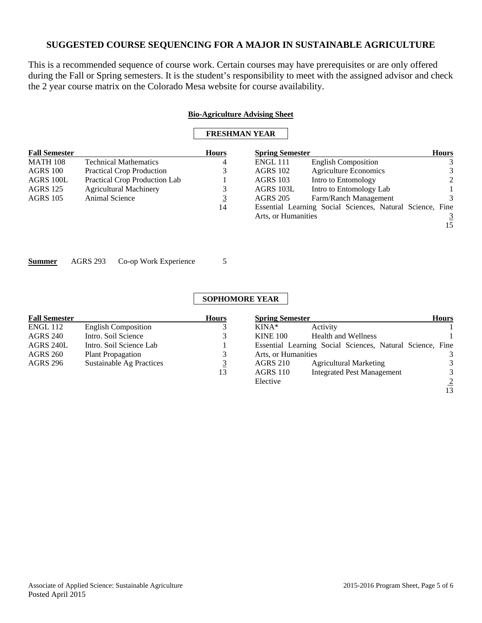This is a recommended sequence of course work. Certain courses may have prerequisites or are only offered during the Fall or Spring semesters. It is the student's responsibility to meet with the assigned advisor and check the 2 year course matrix on the Colorado Mesa website for course availability.

## **Bio-Agriculture Advising Sheet**

# **FRESHMAN YEAR**

| <b>Fall Semester</b> |                                  | <b>Hours</b> | <b>Spring Semester</b> |                                                           | <b>Hours</b> |  |
|----------------------|----------------------------------|--------------|------------------------|-----------------------------------------------------------|--------------|--|
| <b>MATH 108</b>      | <b>Technical Mathematics</b>     | 4            | <b>ENGL 111</b>        | <b>English Composition</b>                                | 3            |  |
| AGRS 100             | <b>Practical Crop Production</b> | 3            | <b>AGRS 102</b>        | <b>Agriculture Economics</b>                              | 3            |  |
| AGRS 100L            | Practical Crop Production Lab    |              | <b>AGRS 103</b>        | Intro to Entomology                                       | 2            |  |
| <b>AGRS</b> 125      | <b>Agricultural Machinery</b>    | 3            | AGRS 103L              | Intro to Entomology Lab                                   |              |  |
| <b>AGRS</b> 105      | Animal Science                   | <u>3</u>     | <b>AGRS 205</b>        | Farm/Ranch Management                                     |              |  |
|                      |                                  | 14           |                        | Essential Learning Social Sciences, Natural Science, Fine |              |  |
|                      |                                  |              | Arts, or Humanities    |                                                           |              |  |
|                      |                                  |              |                        |                                                           | 15           |  |
|                      |                                  |              |                        |                                                           |              |  |

**Summer** AGRS 293 Co-op Work Experience 5

# **SOPHOMORE YEAR**

| <b>Fall Semester</b> |                            | <b>Hours</b> | <b>Spring Semester</b>                                    | <b>Hours</b>   |
|----------------------|----------------------------|--------------|-----------------------------------------------------------|----------------|
| ENGL 112             | <b>English Composition</b> |              | Activity<br>$KINA*$                                       |                |
| AGRS 240             | Intro. Soil Science        |              | <b>Health and Wellness</b><br><b>KINE 100</b>             |                |
| AGRS 240L            | Intro. Soil Science Lab    |              | Essential Learning Social Sciences, Natural Science, Fine |                |
| AGRS 260             | <b>Plant Propagation</b>   |              | Arts, or Humanities                                       | 3              |
| AGRS 296             | Sustainable Ag Practices   |              | <b>Agricultural Marketing</b><br><b>AGRS 210</b>          | 3              |
|                      |                            | 13           | <b>Integrated Pest Management</b><br><b>AGRS</b> 110      | 3              |
|                      |                            |              | Elective                                                  | $\overline{2}$ |

13